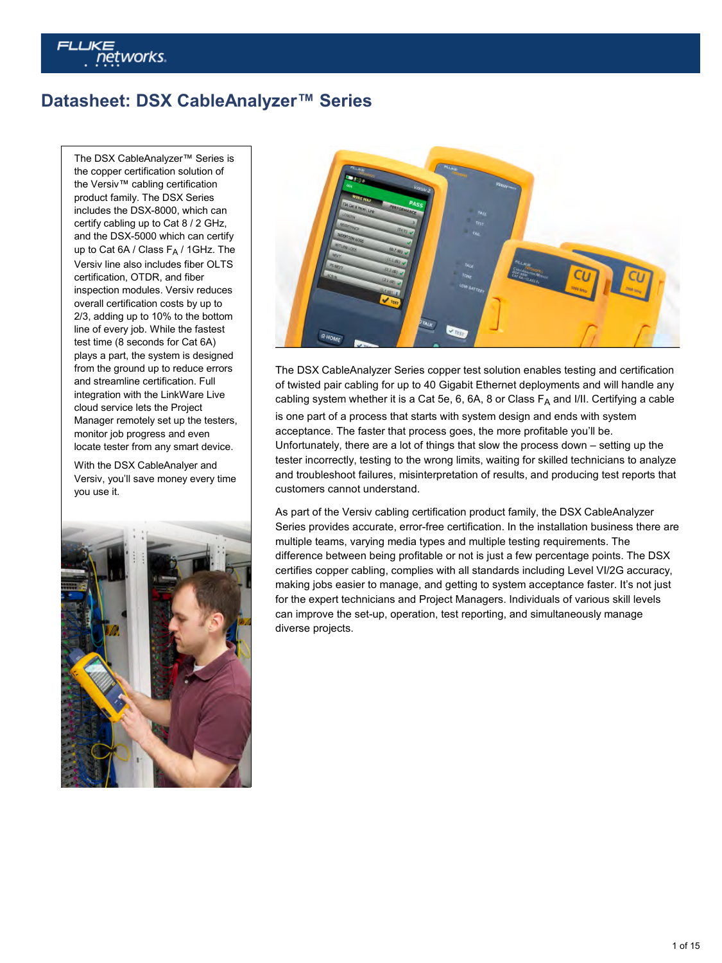# ētworks.

# **Datasheet: DSX CableAnalyzer™ Series**

The DSX CableAnalyzer™ Series is the copper certification solution of the Versiv™ cabling certification product family. The DSX Series includes the DSX-8000, which can certify cabling up to Cat 8 / 2 GHz, and the DSX-5000 which can certify up to Cat 6A / Class  $F_A$  / 1GHz. The Versiv line also includes fiber OLTS certification, OTDR, and fiber inspection modules. Versiv reduces overall certification costs by up to 2/3, adding up to 10% to the bottom line of every job. While the fastest test time (8 seconds for Cat 6A) plays a part, the system is designed from the ground up to reduce errors and streamline certification. Full integration with the LinkWare Live cloud service lets the Project Manager remotely set up the testers, monitor job progress and even locate tester from any smart device.

With the DSX CableAnalyer and Versiv, you'll save money every time you use it.





The DSX CableAnalyzer Series copper test solution enables testing and certification of twisted pair cabling for up to 40 Gigabit Ethernet deployments and will handle any cabling system whether it is a Cat 5e, 6, 6A, 8 or Class  $F_A$  and I/II. Certifying a cable is one part of a process that starts with system design and ends with system acceptance. The faster that process goes, the more profitable you'll be. Unfortunately, there are a lot of things that slow the process down – setting up the tester incorrectly, testing to the wrong limits, waiting for skilled technicians to analyze and troubleshoot failures, misinterpretation of results, and producing test reports that customers cannot understand.

As part of the Versiv cabling certification product family, the DSX CableAnalyzer Series provides accurate, error-free certification. In the installation business there are multiple teams, varying media types and multiple testing requirements. The difference between being profitable or not is just a few percentage points. The DSX certifies copper cabling, complies with all standards including Level VI/2G accuracy, making jobs easier to manage, and getting to system acceptance faster. It's not just for the expert technicians and Project Managers. Individuals of various skill levels can improve the set-up, operation, test reporting, and simultaneously manage diverse projects.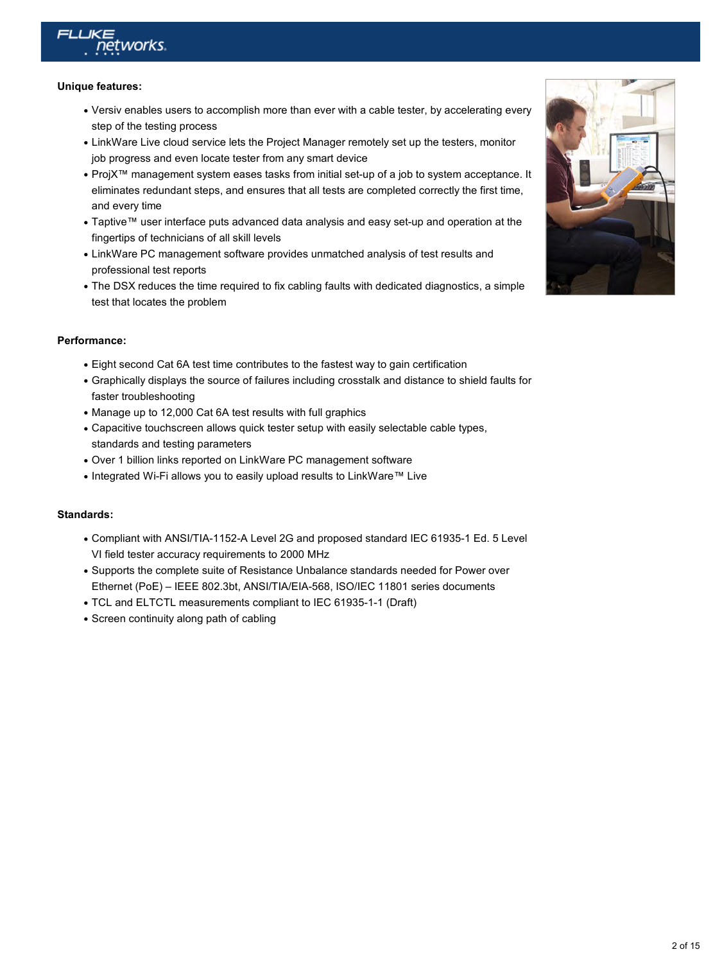

#### **Unique features:**

- Versiv enables users to accomplish more than ever with a cable tester, by accelerating every step of the testing process
- LinkWare Live cloud service lets the Project Manager remotely set up the testers, monitor job progress and even locate tester from any smart device
- ProjX™ management system eases tasks from initial set-up of a job to system acceptance. It eliminates redundant steps, and ensures that all tests are completed correctly the first time, and every time
- Taptive™ user interface puts advanced data analysis and easy set-up and operation at the fingertips of technicians of all skill levels
- LinkWare PC management software provides unmatched analysis of test results and professional test reports
- The DSX reduces the time required to fix cabling faults with dedicated diagnostics, a simple test that locates the problem

#### **Performance:**

- Eight second Cat 6A test time contributes to the fastest way to gain certification
- Graphically displays the source of failures including crosstalk and distance to shield faults for faster troubleshooting
- Manage up to 12,000 Cat 6A test results with full graphics
- Capacitive touchscreen allows quick tester setup with easily selectable cable types, standards and testing parameters
- Over 1 billion links reported on LinkWare PC management software
- Integrated Wi-Fi allows you to easily upload results to LinkWare™ Live

#### **Standards:**

- Compliant with ANSI/TIA-1152-A Level 2G and proposed standard IEC 61935-1 Ed. 5 Level VI field tester accuracy requirements to 2000 MHz
- Supports the complete suite of Resistance Unbalance standards needed for Power over Ethernet (PoE) – IEEE 802.3bt, ANSI/TIA/EIA-568, ISO/IEC 11801 series documents
- TCL and ELTCTL measurements compliant to IEC 61935-1-1 (Draft)
- Screen continuity along path of cabling

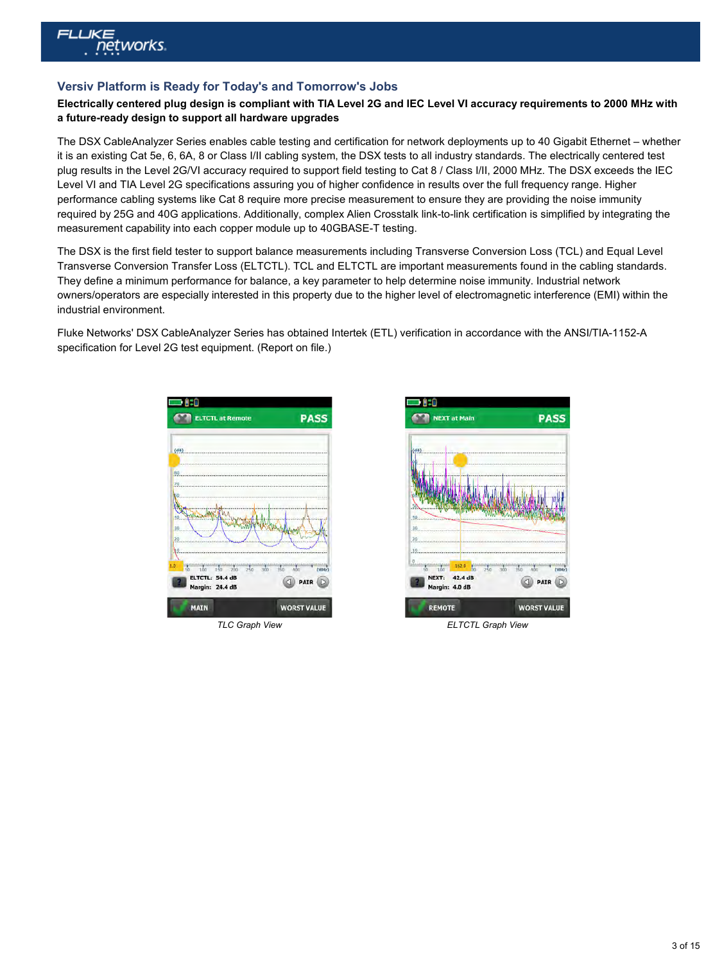

#### **Versiv Platform is Ready for Today's and Tomorrow's Jobs**

#### **Electrically centered plug design is compliant with TIA Level 2G and IEC Level VI accuracy requirements to 2000 MHz with a future-ready design to support all hardware upgrades**

The DSX CableAnalyzer Series enables cable testing and certification for network deployments up to 40 Gigabit Ethernet – whether it is an existing Cat 5e, 6, 6A, 8 or Class I/II cabling system, the DSX tests to all industry standards. The electrically centered test plug results in the Level 2G/VI accuracy required to support field testing to Cat 8 / Class I/II, 2000 MHz. The DSX exceeds the IEC Level VI and TIA Level 2G specifications assuring you of higher confidence in results over the full frequency range. Higher performance cabling systems like Cat 8 require more precise measurement to ensure they are providing the noise immunity required by 25G and 40G applications. Additionally, complex Alien Crosstalk link-to-link certification is simplified by integrating the measurement capability into each copper module up to 40GBASE-T testing.

The DSX is the first field tester to support balance measurements including Transverse Conversion Loss (TCL) and Equal Level Transverse Conversion Transfer Loss (ELTCTL). TCL and ELTCTL are important measurements found in the cabling standards. They define a minimum performance for balance, a key parameter to help determine noise immunity. Industrial network owners/operators are especially interested in this property due to the higher level of electromagnetic interference (EMI) within the industrial environment.

Fluke Networks' DSX CableAnalyzer Series has obtained Intertek (ETL) verification in accordance with the ANSI/TIA-1152-A specification for Level 2G test equipment. (Report on file.)





*TLC Graph View ELTCTL Graph View*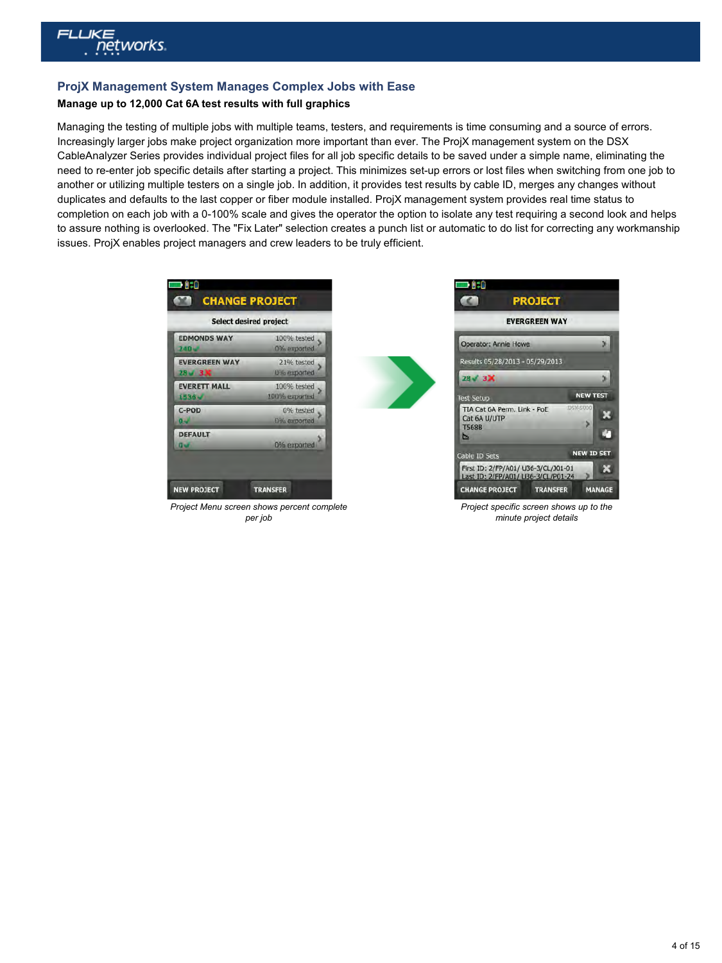

#### **ProjX Management System Manages Complex Jobs with Ease**

#### **Manage up to 12,000 Cat 6A test results with full graphics**

Managing the testing of multiple jobs with multiple teams, testers, and requirements is time consuming and a source of errors. Increasingly larger jobs make project organization more important than ever. The ProjX management system on the DSX CableAnalyzer Series provides individual project files for all job specific details to be saved under a simple name, eliminating the need to re-enter job specific details after starting a project. This minimizes set-up errors or lost files when switching from one job to another or utilizing multiple testers on a single job. In addition, it provides test results by cable ID, merges any changes without duplicates and defaults to the last copper or fiber module installed. ProjX management system provides real time status to completion on each job with a 0-100% scale and gives the operator the option to isolate any test requiring a second look and helps to assure nothing is overlooked. The "Fix Later" selection creates a punch list or automatic to do list for correcting any workmanship issues. ProjX enables project managers and crew leaders to be truly efficient.

| <b>EDMONDS WAY</b>               | 100% tested   |
|----------------------------------|---------------|
| 240w                             | 0% exported   |
| <b>EVERGREEN WAY</b>             | 21% tested    |
| $28 - 3N$                        | 0% exported   |
| <b>EVERETT MALL</b>              | 100% tested   |
| 1536-                            | 100% exported |
| C-POD                            | 0% tested     |
| $0 -$                            | 0% exported   |
| <b>DEFAULT</b><br>$\overline{a}$ | 0% exported   |





*Project specific screen shows up to the minute project details*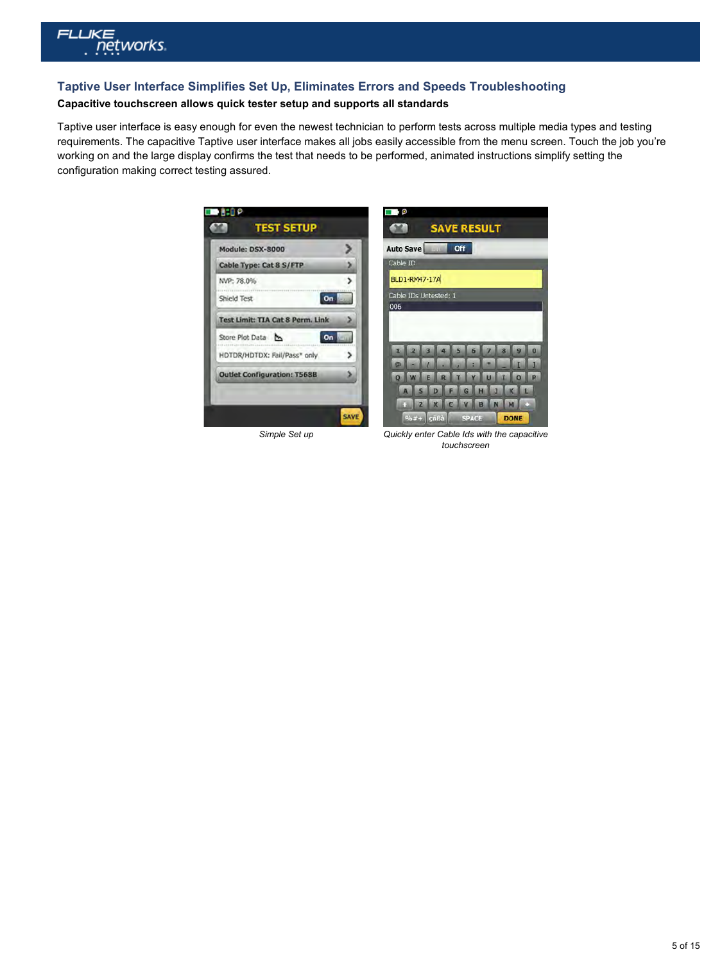

## **Taptive User Interface Simplifies Set Up, Eliminates Errors and Speeds Troubleshooting**

#### **Capacitive touchscreen allows quick tester setup and supports all standards**

Taptive user interface is easy enough for even the newest technician to perform tests across multiple media types and testing requirements. The capacitive Taptive user interface makes all jobs easily accessible from the menu screen. Touch the job you're working on and the large display confirms the test that needs to be performed, animated instructions simplify setting the configuration making correct testing assured.

|                                         |   | Auto Save<br>Off             |
|-----------------------------------------|---|------------------------------|
| Cable Type: Cat 8 S/FTP                 |   | Cable ID                     |
| NVP: 78.0%                              | > | <b>BLD1-RM47-17A</b>         |
| Shield Test<br>On                       |   | Cable IDs Untested: 1<br>006 |
| <b>Test Limit: TIA Cat 8 Perm. Link</b> |   |                              |
| Store Plot Data<br>On                   |   |                              |
| HDTDR/HDTDX: Fail/Pass* only            | ⋗ |                              |
| <b>Outlet Configuration: T568B</b>      |   |                              |

*Simple Set up Quickly enter Cable Ids with the capacitive touchscreen*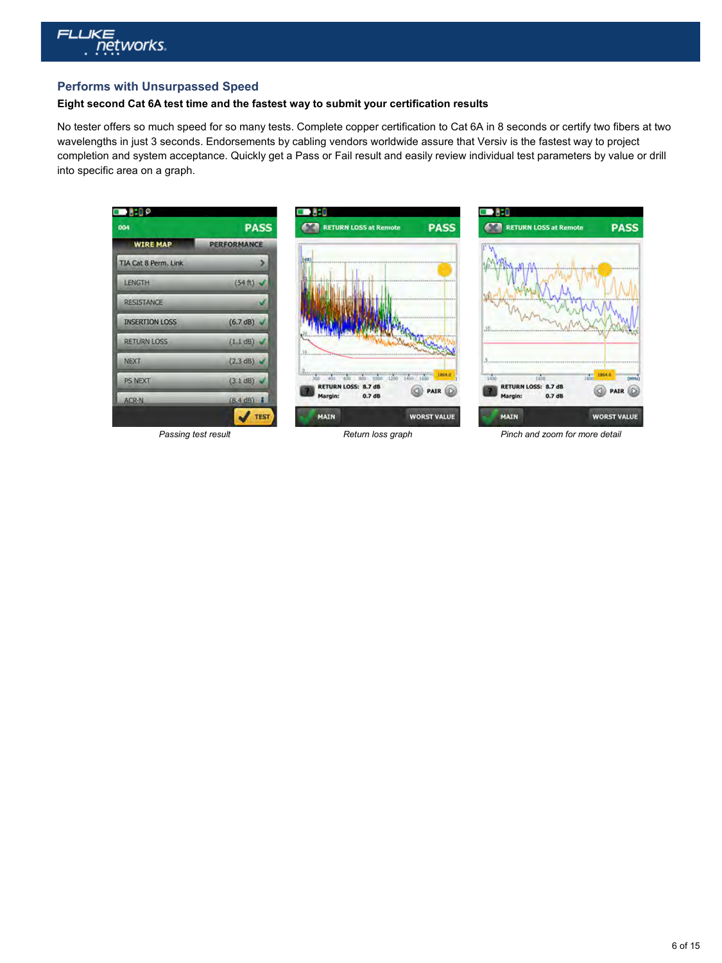

#### **Performs with Unsurpassed Speed**

#### **Eight second Cat 6A test time and the fastest way to submit your certification results**

No tester offers so much speed for so many tests. Complete copper certification to Cat 6A in 8 seconds or certify two fibers at two wavelengths in just 3 seconds. Endorsements by cabling vendors worldwide assure that Versiv is the fastest way to project completion and system acceptance. Quickly get a Pass or Fail result and easily review individual test parameters by value or drill into specific area on a graph.



*Passing test result Return loss graph Pinch and zoom for more detail*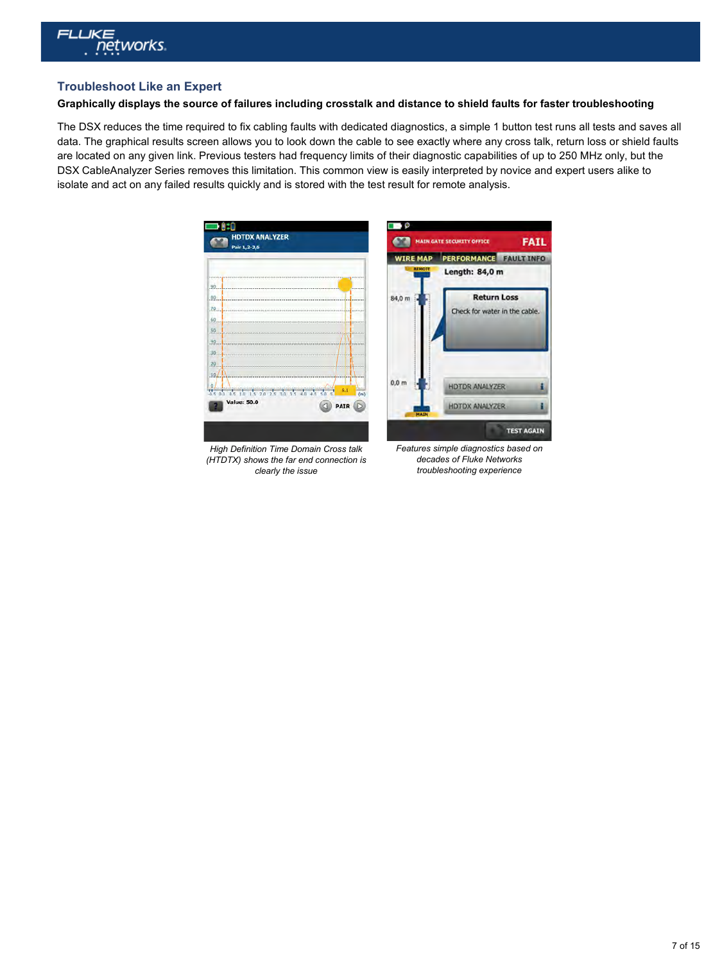

#### **Troubleshoot Like an Expert**

#### **Graphically displays the source of failures including crosstalk and distance to shield faults for faster troubleshooting**

The DSX reduces the time required to fix cabling faults with dedicated diagnostics, a simple 1 button test runs all tests and saves all data. The graphical results screen allows you to look down the cable to see exactly where any cross talk, return loss or shield faults are located on any given link. Previous testers had frequency limits of their diagnostic capabilities of up to 250 MHz only, but the DSX CableAnalyzer Series removes this limitation. This common view is easily interpreted by novice and expert users alike to isolate and act on any failed results quickly and is stored with the test result for remote analysis.



*High Definition Time Domain Cross talk (HTDTX) shows the far end connection is clearly the issue*

*Features simple diagnostics based on decades of Fluke Networks troubleshooting experience*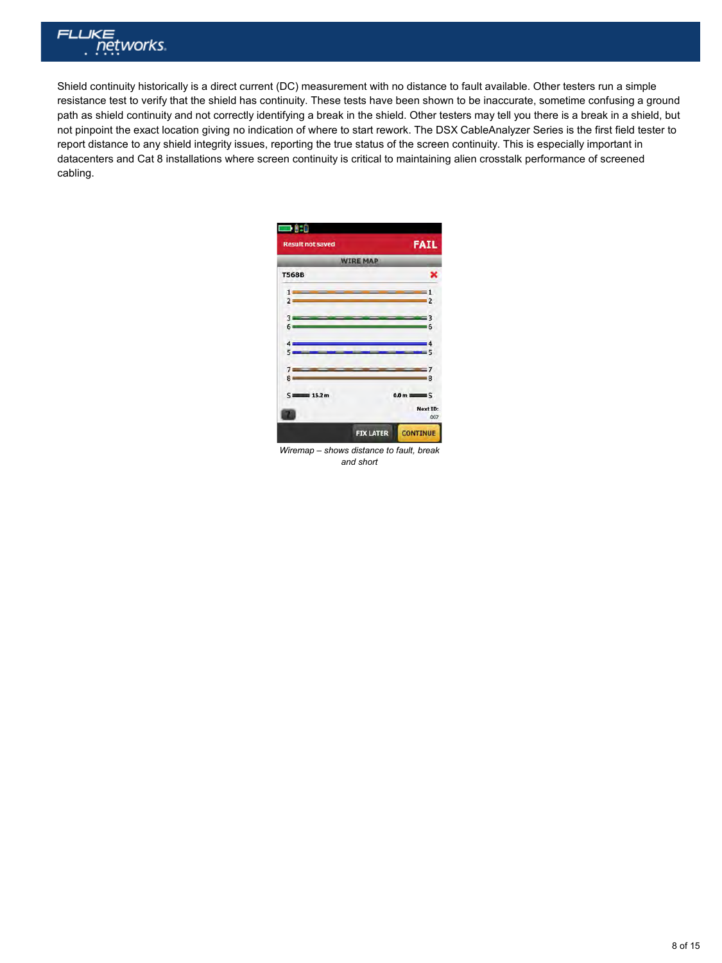

Shield continuity historically is a direct current (DC) measurement with no distance to fault available. Other testers run a simple resistance test to verify that the shield has continuity. These tests have been shown to be inaccurate, sometime confusing a ground path as shield continuity and not correctly identifying a break in the shield. Other testers may tell you there is a break in a shield, but not pinpoint the exact location giving no indication of where to start rework. The DSX CableAnalyzer Series is the first field tester to report distance to any shield integrity issues, reporting the true status of the screen continuity. This is especially important in datacenters and Cat 8 installations where screen continuity is critical to maintaining alien crosstalk performance of screened cabling.

| $\Box$                                                   |                                       |                  |
|----------------------------------------------------------|---------------------------------------|------------------|
| <b>Result not saved</b>                                  |                                       | <b>FAIL</b>      |
|                                                          | <b>WIRE MAP</b>                       |                  |
| <b>T568B</b>                                             |                                       | ×                |
| <b>Contract Contract Contract Contract</b><br>$2 \equiv$ | <u> Andreas Andrew Manager (1986)</u> |                  |
| $3 - 1$<br>$6 -$                                         | <u> 3</u><br>$\sim$ 6                 |                  |
| $4 -$                                                    | ______                                | $\sim$ 4         |
| $5 - 1$<br>$7 - 7$                                       | <u> 7</u>                             |                  |
| $8 -$                                                    |                                       | $-8$             |
| $S = 15.2 m$                                             |                                       | $0.0 m \equiv S$ |
|                                                          |                                       | Next ID:<br>007  |
|                                                          | <b>FIX LATER</b>                      | <b>CONTINUE</b>  |

*Wiremap – shows distance to fault, break and short*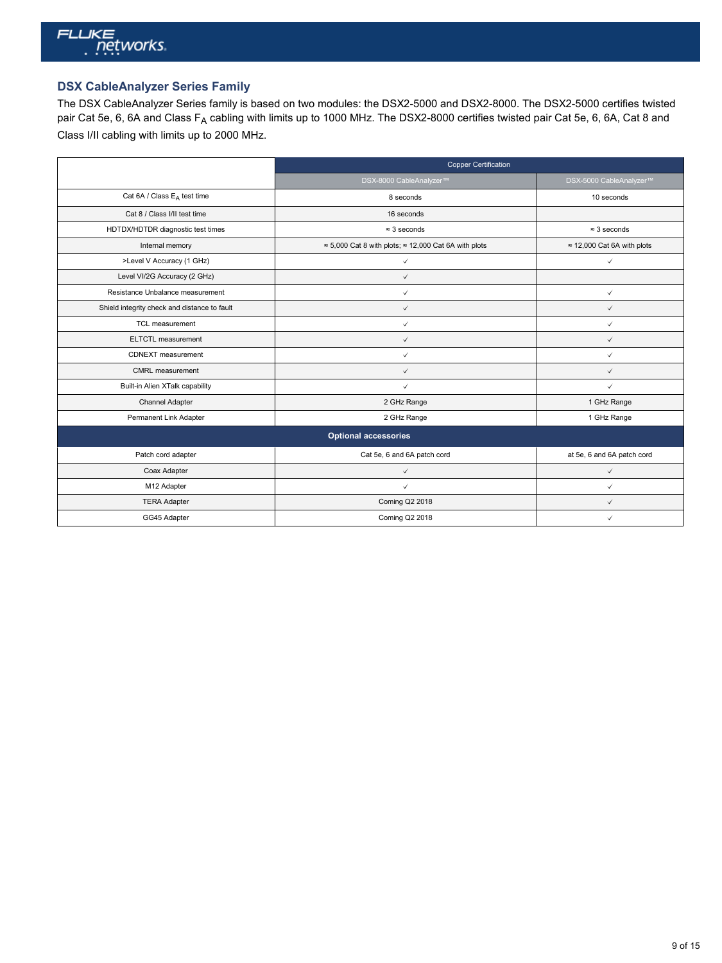

### **DSX CableAnalyzer Series Family**

The DSX CableAnalyzer Series family is based on two modules: the DSX2-5000 and DSX2-8000. The DSX2-5000 certifies twisted pair Cat 5e, 6, 6A and Class F<sub>A</sub> cabling with limits up to 1000 MHz. The DSX2-8000 certifies twisted pair Cat 5e, 6, 6A, Cat 8 and Class I/II cabling with limits up to 2000 MHz.

|                                              | <b>Copper Certification</b>                                          |                                    |
|----------------------------------------------|----------------------------------------------------------------------|------------------------------------|
|                                              | DSX-8000 CableAnalyzer™                                              | DSX-5000 CableAnalyzer™            |
| Cat 6A / Class E <sub>A</sub> test time      | 8 seconds                                                            | 10 seconds                         |
| Cat 8 / Class I/II test time                 | 16 seconds                                                           |                                    |
| HDTDX/HDTDR diagnostic test times            | $\approx$ 3 seconds                                                  | $\approx$ 3 seconds                |
| Internal memory                              | $\approx$ 5,000 Cat 8 with plots; $\approx$ 12,000 Cat 6A with plots | $\approx$ 12,000 Cat 6A with plots |
| >Level V Accuracy (1 GHz)                    | $\checkmark$                                                         | $\checkmark$                       |
| Level VI/2G Accuracy (2 GHz)                 | $\checkmark$                                                         |                                    |
| Resistance Unbalance measurement             | $\checkmark$                                                         | $\checkmark$                       |
| Shield integrity check and distance to fault | $\checkmark$                                                         | $\checkmark$                       |
| <b>TCL</b> measurement                       | $\checkmark$                                                         | $\checkmark$                       |
| <b>ELTCTL</b> measurement                    | $\checkmark$                                                         | $\checkmark$                       |
| CDNEXT measurement                           | $\checkmark$                                                         | $\checkmark$                       |
| CMRL measurement                             | $\checkmark$                                                         | $\checkmark$                       |
| Built-in Alien XTalk capability              | $\checkmark$                                                         | ✓                                  |
| Channel Adapter                              | 2 GHz Range                                                          | 1 GHz Range                        |
| Permanent Link Adapter                       | 2 GHz Range                                                          | 1 GHz Range                        |
|                                              | <b>Optional accessories</b>                                          |                                    |
| Patch cord adapter                           | Cat 5e, 6 and 6A patch cord                                          | at 5e, 6 and 6A patch cord         |
| Coax Adapter                                 | $\checkmark$                                                         | $\checkmark$                       |
| M12 Adapter                                  | $\checkmark$                                                         | $\checkmark$                       |
| <b>TERA Adapter</b>                          | <b>Coming Q2 2018</b>                                                | $\checkmark$                       |
| GG45 Adapter                                 | <b>Coming Q2 2018</b>                                                | ✓                                  |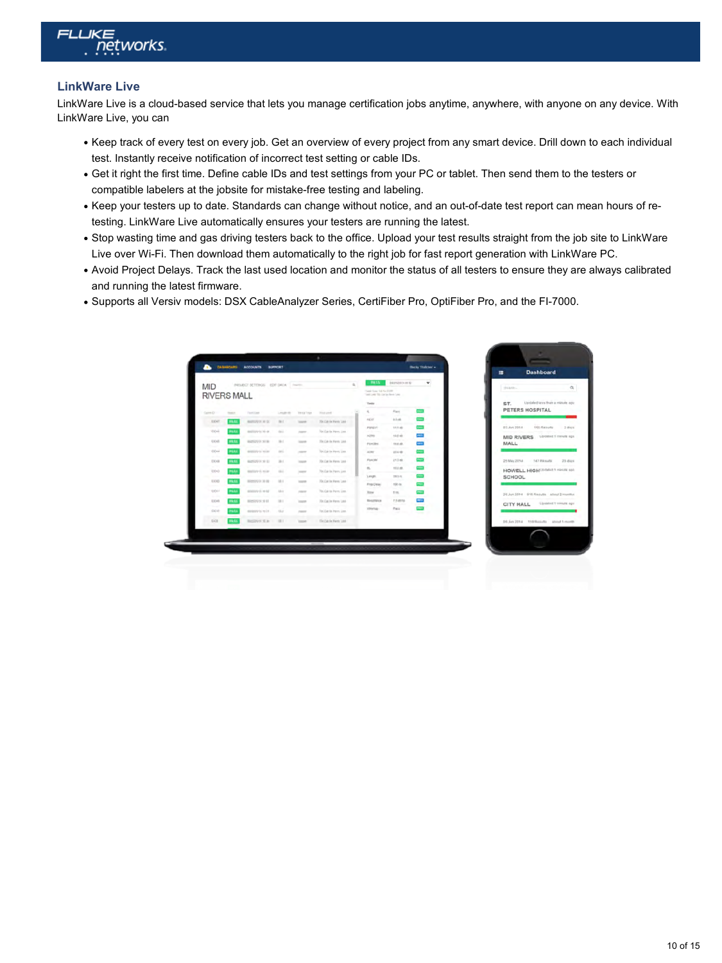

#### **LinkWare Live**

LinkWare Live is a cloud-based service that lets you manage certification jobs anytime, anywhere, with anyone on any device. With LinkWare Live, you can

- Keep track of every test on every job. Get an overview of every project from any smart device. Drill down to each individual test. Instantly receive notification of incorrect test setting or cable IDs.
- Get it right the first time. Define cable IDs and test settings from your PC or tablet. Then send them to the testers or compatible labelers at the jobsite for mistake-free testing and labeling.
- Keep your testers up to date. Standards can change without notice, and an out-of-date test report can mean hours of retesting. LinkWare Live automatically ensures your testers are running the latest.
- Stop wasting time and gas driving testers back to the office. Upload your test results straight from the job site to LinkWare Live over Wi-Fi. Then download them automatically to the right job for fast report generation with LinkWare PC.
- Avoid Project Delays. Track the last used location and monitor the status of all testers to ensure they are always calibrated and running the latest firmware.
- Supports all Versiv models: DSX CableAnalyzer Series, CertiFiber Pro, OptiFiber Pro, and the FI-7000.

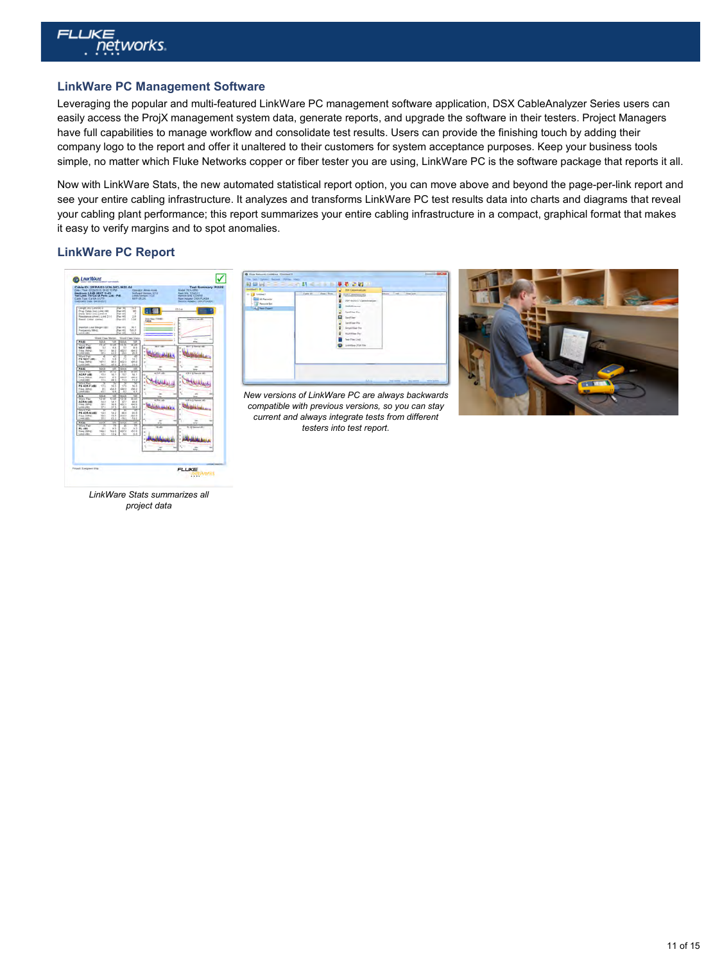

#### **LinkWare PC Management Software**

Leveraging the popular and multi-featured LinkWare PC management software application, DSX CableAnalyzer Series users can easily access the ProjX management system data, generate reports, and upgrade the software in their testers. Project Managers have full capabilities to manage workflow and consolidate test results. Users can provide the finishing touch by adding their company logo to the report and offer it unaltered to their customers for system acceptance purposes. Keep your business tools simple, no matter which Fluke Networks copper or fiber tester you are using, LinkWare PC is the software package that reports it all.

Now with LinkWare Stats, the new automated statistical report option, you can move above and beyond the page-per-link report and see your entire cabling infrastructure. It analyzes and transforms LinkWare PC test results data into charts and diagrams that reveal your cabling plant performance; this report summarizes your entire cabling infrastructure in a compact, graphical format that makes it easy to verify margins and to spot anomalies.

#### **LinkWare PC Report**





*New versions of LinkWare PC are always backwards compatible with previous versions, so you can stay current and always integrate tests from different testers into test report.*



*LinkWare Stats summarizes all project data*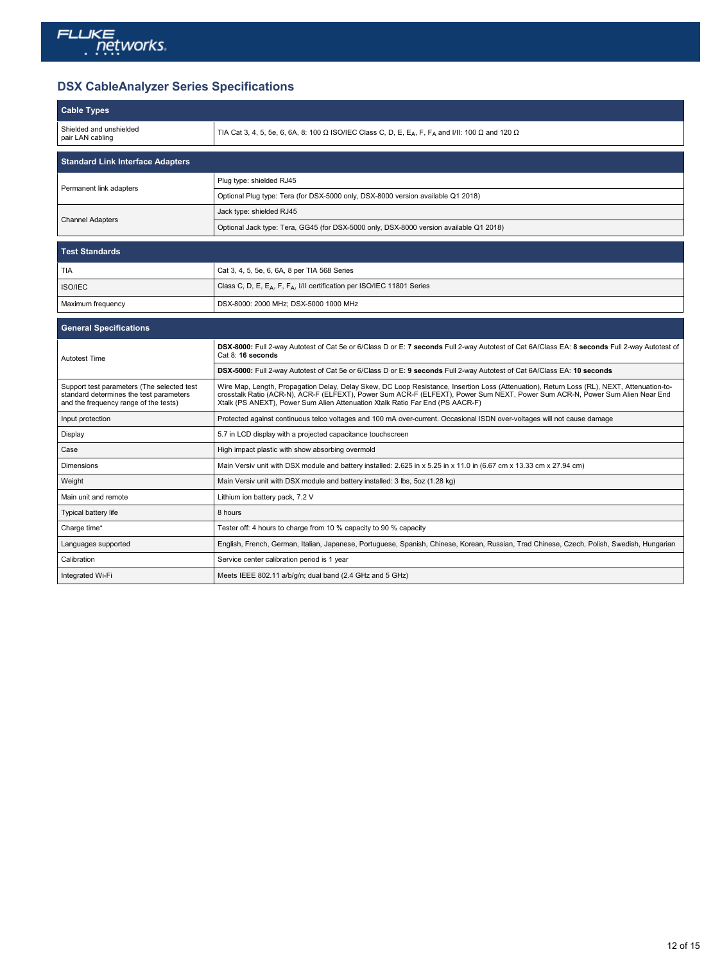

# **DSX CableAnalyzer Series Specifications**

| <b>Cable Types</b>                                                                                                             |                                                                                                                                                                                                                                                                                                                                                             |
|--------------------------------------------------------------------------------------------------------------------------------|-------------------------------------------------------------------------------------------------------------------------------------------------------------------------------------------------------------------------------------------------------------------------------------------------------------------------------------------------------------|
| Shielded and unshielded<br>pair LAN cabling                                                                                    | TIA Cat 3, 4, 5, 5e, 6, 6A, 8: 100 $\Omega$ ISO/IEC Class C, D, E, E <sub>A</sub> , F, F <sub>A</sub> and I/II: 100 $\Omega$ and 120 $\Omega$                                                                                                                                                                                                               |
| <b>Standard Link Interface Adapters</b>                                                                                        |                                                                                                                                                                                                                                                                                                                                                             |
|                                                                                                                                | Plug type: shielded RJ45                                                                                                                                                                                                                                                                                                                                    |
| Permanent link adapters                                                                                                        | Optional Plug type: Tera (for DSX-5000 only, DSX-8000 version available Q1 2018)                                                                                                                                                                                                                                                                            |
| <b>Channel Adapters</b>                                                                                                        | Jack type: shielded RJ45                                                                                                                                                                                                                                                                                                                                    |
|                                                                                                                                | Optional Jack type: Tera, GG45 (for DSX-5000 only, DSX-8000 version available Q1 2018)                                                                                                                                                                                                                                                                      |
| <b>Test Standards</b>                                                                                                          |                                                                                                                                                                                                                                                                                                                                                             |
| <b>TIA</b>                                                                                                                     | Cat 3, 4, 5, 5e, 6, 6A, 8 per TIA 568 Series                                                                                                                                                                                                                                                                                                                |
| <b>ISO/IEC</b>                                                                                                                 | Class C, D, E, E <sub>A</sub> , F, F <sub>A</sub> , I/II certification per ISO/IEC 11801 Series                                                                                                                                                                                                                                                             |
| Maximum frequency                                                                                                              | DSX-8000: 2000 MHz; DSX-5000 1000 MHz                                                                                                                                                                                                                                                                                                                       |
| <b>General Specifications</b>                                                                                                  |                                                                                                                                                                                                                                                                                                                                                             |
|                                                                                                                                | DSX-8000: Full 2-way Autotest of Cat 5e or 6/Class D or E: 7 seconds Full 2-way Autotest of Cat 6A/Class EA: 8 seconds Full 2-way Autotest of                                                                                                                                                                                                               |
| <b>Autotest Time</b>                                                                                                           | Cat 8: 16 seconds                                                                                                                                                                                                                                                                                                                                           |
|                                                                                                                                | DSX-5000: Full 2-way Autotest of Cat 5e or 6/Class D or E: 9 seconds Full 2-way Autotest of Cat 6A/Class EA: 10 seconds                                                                                                                                                                                                                                     |
| Support test parameters (The selected test<br>standard determines the test parameters<br>and the frequency range of the tests) | Wire Map, Length, Propagation Delay, Delay Skew, DC Loop Resistance, Insertion Loss (Attenuation), Return Loss (RL), NEXT, Attenuation-to-<br>crosstalk Ratio (ACR-N), ACR-F (ELFEXT), Power Sum ACR-F (ELFEXT), Power Sum NEXT, Power Sum ACR-N, Power Sum Alien Near End<br>Xtalk (PS ANEXT), Power Sum Alien Attenuation Xtalk Ratio Far End (PS AACR-F) |
| Input protection                                                                                                               | Protected against continuous telco voltages and 100 mA over-current. Occasional ISDN over-voltages will not cause damage                                                                                                                                                                                                                                    |
| Display                                                                                                                        | 5.7 in LCD display with a projected capacitance touchscreen                                                                                                                                                                                                                                                                                                 |
| Case                                                                                                                           | High impact plastic with show absorbing overmold                                                                                                                                                                                                                                                                                                            |
| <b>Dimensions</b>                                                                                                              | Main Versiv unit with DSX module and battery installed: 2.625 in x 5.25 in x 11.0 in (6.67 cm x 13.33 cm x 27.94 cm)                                                                                                                                                                                                                                        |
| Weight                                                                                                                         | Main Versiv unit with DSX module and battery installed: 3 lbs, 5oz (1.28 kg)                                                                                                                                                                                                                                                                                |
| Main unit and remote                                                                                                           | Lithium ion battery pack, 7.2 V                                                                                                                                                                                                                                                                                                                             |
| Typical battery life                                                                                                           | 8 hours                                                                                                                                                                                                                                                                                                                                                     |
| Charge time*                                                                                                                   | Tester off: 4 hours to charge from 10 % capacity to 90 % capacity                                                                                                                                                                                                                                                                                           |
| Languages supported                                                                                                            | English, French, German, Italian, Japanese, Portuguese, Spanish, Chinese, Korean, Russian, Trad Chinese, Czech, Polish, Swedish, Hungarian                                                                                                                                                                                                                  |
| Calibration                                                                                                                    | Service center calibration period is 1 year                                                                                                                                                                                                                                                                                                                 |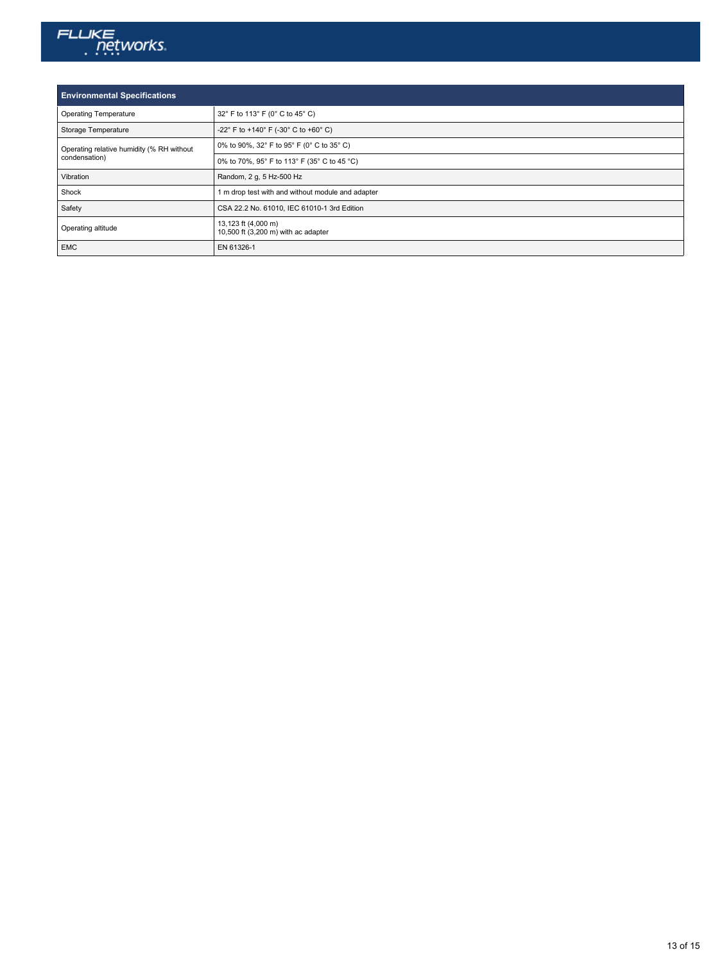

| <b>Environmental Specifications</b>                        |                                                            |
|------------------------------------------------------------|------------------------------------------------------------|
| <b>Operating Temperature</b>                               | 32° F to 113° F (0° C to 45° C)                            |
| Storage Temperature                                        | -22° F to +140° F (-30° C to +60° C)                       |
| Operating relative humidity (% RH without<br>condensation) | 0% to 90%, 32° F to 95° F (0° C to 35° C)                  |
|                                                            | 0% to 70%, 95° F to 113° F (35° C to 45 °C)                |
| Vibration                                                  | Random, 2 g, 5 Hz-500 Hz                                   |
| Shock                                                      | 1 m drop test with and without module and adapter          |
| Safety                                                     | CSA 22.2 No. 61010, IEC 61010-1 3rd Edition                |
| Operating altitude                                         | 13,123 ft (4,000 m)<br>10,500 ft (3,200 m) with ac adapter |
| <b>EMC</b>                                                 | EN 61326-1                                                 |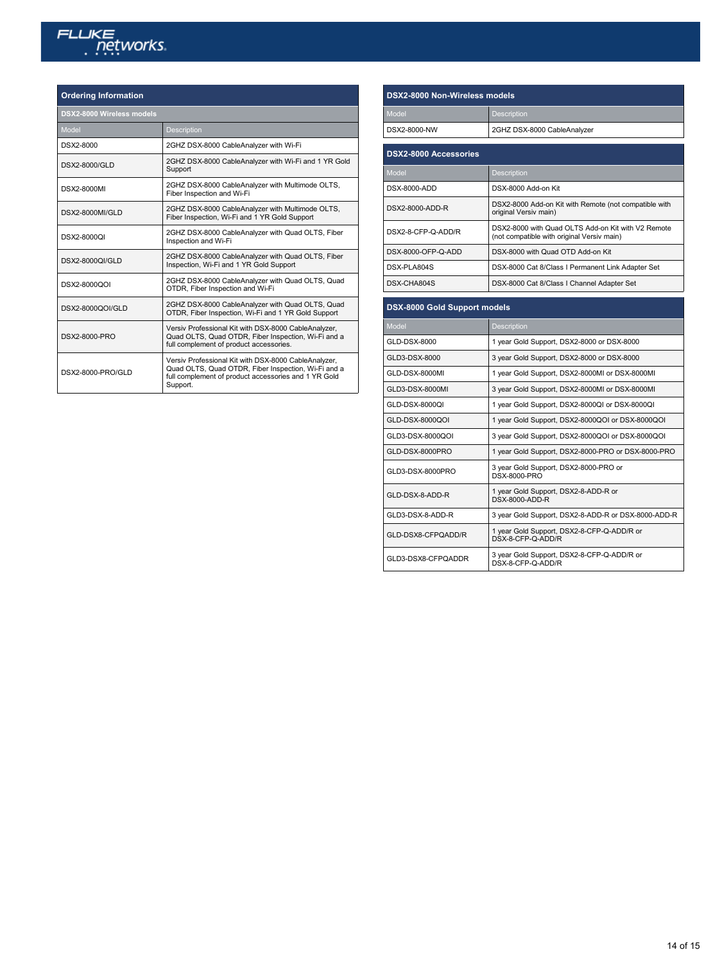# FLUKE <u>networks</u>

#### **Ordering Information**

| DSX2-8000 Wireless models                                                                                                                                                       |  |
|---------------------------------------------------------------------------------------------------------------------------------------------------------------------------------|--|
| <b>Description</b>                                                                                                                                                              |  |
| 2GHZ DSX-8000 CableAnalyzer with Wi-Fi                                                                                                                                          |  |
| 2GHZ DSX-8000 CableAnalyzer with Wi-Fi and 1 YR Gold<br>Support                                                                                                                 |  |
| 2GHZ DSX-8000 CableAnalyzer with Multimode OLTS,<br>Fiber Inspection and Wi-Fi                                                                                                  |  |
| 2GHZ DSX-8000 CableAnalyzer with Multimode OLTS,<br>Fiber Inspection, Wi-Fi and 1 YR Gold Support                                                                               |  |
| 2GHZ DSX-8000 CableAnalyzer with Quad OLTS, Fiber<br>Inspection and Wi-Fi                                                                                                       |  |
| 2GHZ DSX-8000 CableAnalyzer with Quad OLTS, Fiber<br>Inspection, Wi-Fi and 1 YR Gold Support                                                                                    |  |
| 2GHZ DSX-8000 CableAnalyzer with Quad OLTS, Quad<br>OTDR, Fiber Inspection and Wi-Fi                                                                                            |  |
| 2GHZ DSX-8000 CableAnalyzer with Quad OLTS, Quad<br>OTDR, Fiber Inspection, Wi-Fi and 1 YR Gold Support                                                                         |  |
| Versiv Professional Kit with DSX-8000 CableAnalyzer,<br>Quad OLTS, Quad OTDR, Fiber Inspection, Wi-Fi and a<br>full complement of product accessories.                          |  |
| Versiv Professional Kit with DSX-8000 CableAnalyzer,<br>Quad OLTS, Quad OTDR, Fiber Inspection, Wi-Fi and a<br>full complement of product accessories and 1 YR Gold<br>Support. |  |
|                                                                                                                                                                                 |  |

| <b>DSX2-8000 Non-Wireless models</b> |                                                                                                  |
|--------------------------------------|--------------------------------------------------------------------------------------------------|
| Model                                | <b>Description</b>                                                                               |
| DSX2-8000-NW                         | 2GHZ DSX-8000 CableAnalyzer                                                                      |
| <b>DSX2-8000 Accessories</b>         |                                                                                                  |
| Model                                | <b>Description</b>                                                                               |
| DSX-8000-ADD                         | DSX-8000 Add-on Kit                                                                              |
| DSX2-8000-ADD-R                      | DSX2-8000 Add-on Kit with Remote (not compatible with<br>original Versiv main)                   |
| DSX2-8-CFP-Q-ADD/R                   | DSX2-8000 with Quad OLTS Add-on Kit with V2 Remote<br>(not compatible with original Versiv main) |
| DSX-8000-OFP-Q-ADD                   | DSX-8000 with Quad OTD Add-on Kit                                                                |
| DSX-PLA804S                          | DSX-8000 Cat 8/Class I Permanent Link Adapter Set                                                |
| DSX-CHA804S                          | DSX-8000 Cat 8/Class I Channel Adapter Set                                                       |
| DSX-8000 Gold Support models         |                                                                                                  |
| Model                                | <b>Description</b>                                                                               |
| GLD-DSX-8000                         | 1 year Gold Support, DSX2-8000 or DSX-8000                                                       |
| GLD3-DSX-8000                        | 3 year Gold Support, DSX2-8000 or DSX-8000                                                       |
| GLD-DSX-8000MI                       | 1 year Gold Support, DSX2-8000MI or DSX-8000MI                                                   |
| GLD3-DSX-8000MI                      | 3 year Gold Support, DSX2-8000MI or DSX-8000MI                                                   |
| GLD-DSX-8000QI                       | 1 year Gold Support, DSX2-8000QI or DSX-8000QI                                                   |
| GLD-DSX-8000QOI                      | 1 year Gold Support, DSX2-8000QOI or DSX-8000QOI                                                 |
| GLD3-DSX-8000QOI                     | 3 year Gold Support, DSX2-8000QOI or DSX-8000QOI                                                 |
| GLD-DSX-8000PRO                      | 1 year Gold Support, DSX2-8000-PRO or DSX-8000-PRO                                               |

GLD3-DSX-8000PRO 3 year Gold Support, DSX2-8000-PRO or DSX-8000-PRO GLD-DSX-8-ADD-R 1 year Gold Support, DSX2-8-ADD-R or DSX-8000-ADD-R

GLD3-DSX-8-ADD-R 3 year Gold Support, DSX2-8-ADD-R or DSX-8000-ADD-R GLD-DSX8-CFPQADD/R 1 year Gold Support, DSX2-8-CFP-Q-ADD/R or DSX-8-CFP-Q-ADD/R GLD3-DSX8-CFPQADDR 3 year Gold Support, DSX2-8-CFP-Q-ADD/R or DSX-8-CFP-Q-ADD/R